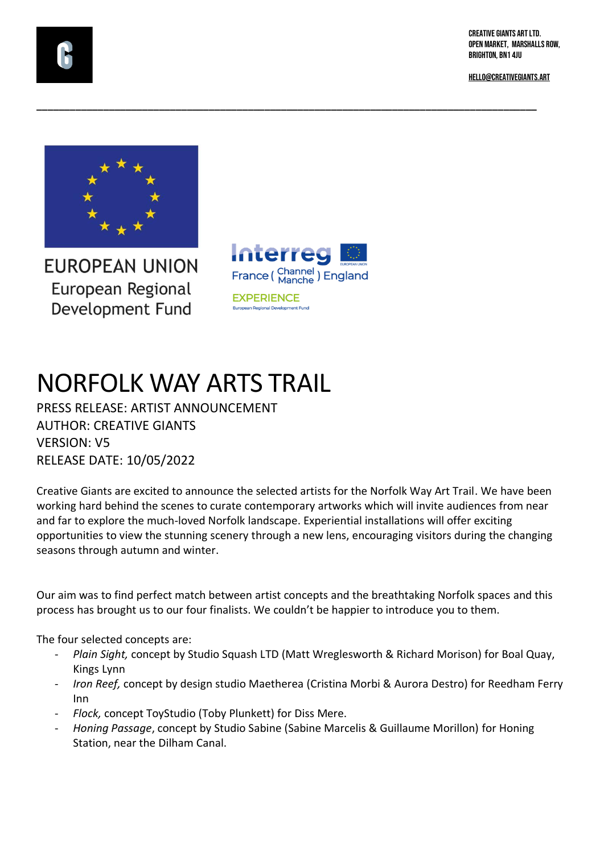CREATIVE GIANTS ART LTD. OPEN MARKET, MARSHALLS ROW, BRIGHTON, BN1 4JU

[HELLO@CREATIVEGIANTS.ART](about:blank)



**FUROPEAN UNION** European Regional Development Fund



**\_\_\_\_\_\_\_\_\_\_\_\_\_\_\_\_\_\_\_\_\_\_\_\_\_\_\_\_\_\_\_\_\_\_\_\_\_\_\_\_\_\_\_\_\_\_\_\_\_\_\_\_\_\_\_\_\_\_\_\_\_\_\_\_\_\_\_\_\_\_\_\_\_\_\_\_\_\_\_\_\_\_\_\_\_\_\_\_\_\_**

## NORFOLK WAY ARTS TRAIL

PRESS RELEASE: ARTIST ANNOUNCEMENT AUTHOR: CREATIVE GIANTS VERSION: V5 RELEASE DATE: 10/05/2022

Creative Giants are excited to announce the selected artists for the Norfolk Way Art Trail. We have been working hard behind the scenes to curate contemporary artworks which will invite audiences from near and far to explore the much-loved Norfolk landscape. Experiential installations will offer exciting opportunities to view the stunning scenery through a new lens, encouraging visitors during the changing seasons through autumn and winter.

Our aim was to find perfect match between artist concepts and the breathtaking Norfolk spaces and this process has brought us to our four finalists. We couldn't be happier to introduce you to them.

The four selected concepts are:

- *Plain Sight,* concept by Studio Squash LTD (Matt Wreglesworth & Richard Morison) for Boal Quay, Kings Lynn
- *Iron Reef,* concept by design studio Maetherea (Cristina Morbi & Aurora Destro) for Reedham Ferry Inn
- *Flock,* concept ToyStudio (Toby Plunkett) for Diss Mere.
- *Honing Passage*, concept by Studio Sabine (Sabine Marcelis & Guillaume Morillon) for Honing Station, near the Dilham Canal.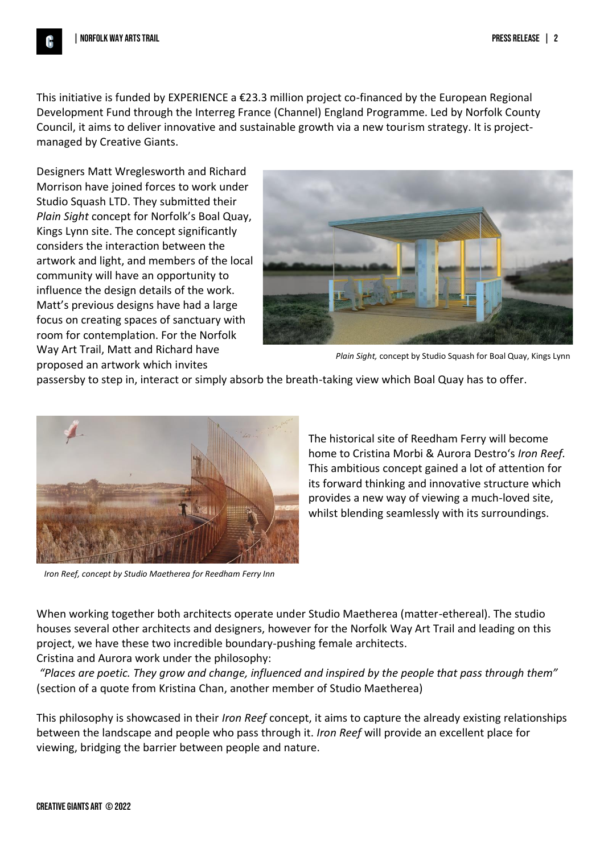This initiative is funded by EXPERIENCE a  $\epsilon$ 23.3 million project co-financed by the European Regional Development Fund through the Interreg France (Channel) England Programme. Led by Norfolk County Council, it aims to deliver innovative and sustainable growth via a new tourism strategy. It is projectmanaged by Creative Giants.

Designers Matt Wreglesworth and Richard Morrison have joined forces to work under Studio Squash LTD. They submitted their *Plain Sight* concept for Norfolk's Boal Quay, Kings Lynn site. The concept significantly considers the interaction between the artwork and light, and members of the local community will have an opportunity to influence the design details of the work. Matt's previous designs have had a large focus on creating spaces of sanctuary with room for contemplation. For the Norfolk Way Art Trail, Matt and Richard have proposed an artwork which invites



*Plain Sight,* concept by Studio Squash for Boal Quay, Kings Lynn

passersby to step in, interact or simply absorb the breath-taking view which Boal Quay has to offer.



*Iron Reef, concept by Studio Maetherea for Reedham Ferry Inn*

The historical site of Reedham Ferry will become home to Cristina Morbi & Aurora Destro's *Iron Reef.*  This ambitious concept gained a lot of attention for its forward thinking and innovative structure which provides a new way of viewing a much-loved site, whilst blending seamlessly with its surroundings.

When working together both architects operate under Studio Maetherea (matter-ethereal). The studio houses several other architects and designers, however for the Norfolk Way Art Trail and leading on this project, we have these two incredible boundary-pushing female architects.

Cristina and Aurora work under the philosophy:

*"Places are poetic. They grow and change, influenced and inspired by the people that pass through them"*  (section of a quote from Kristina Chan, another member of Studio Maetherea)

This philosophy is showcased in their *Iron Reef* concept, it aims to capture the already existing relationships between the landscape and people who pass through it. *Iron Reef* will provide an excellent place for viewing, bridging the barrier between people and nature.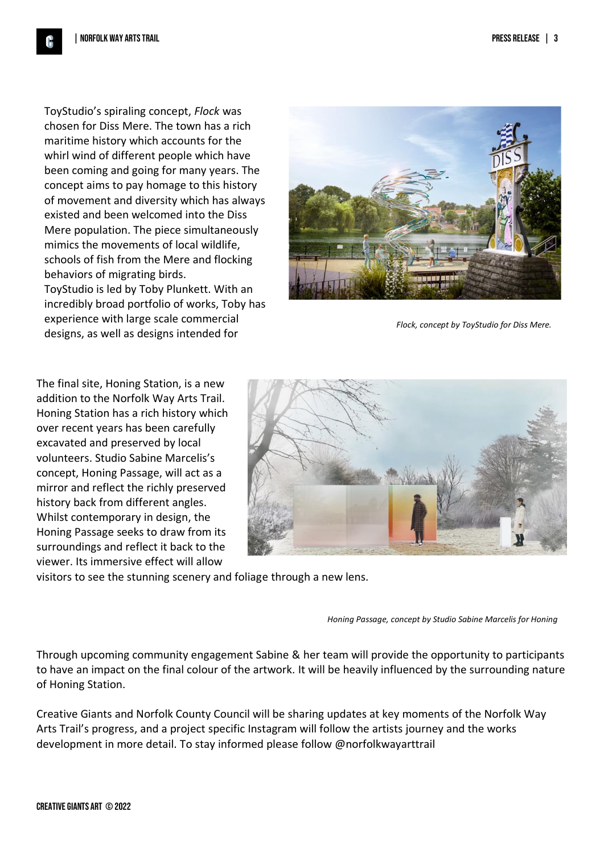ToyStudio's spiraling concept, *Flock* was chosen for Diss Mere. The town has a rich maritime history which accounts for the whirl wind of different people which have been coming and going for many years. The concept aims to pay homage to this history of movement and diversity which has always existed and been welcomed into the Diss Mere population. The piece simultaneously mimics the movements of local wildlife, schools of fish from the Mere and flocking behaviors of migrating birds. ToyStudio is led by Toby Plunkett. With an incredibly broad portfolio of works, Toby has experience with large scale commercial designs, as well as designs intended for



*Flock, concept by ToyStudio for Diss Mere.* 

The final site, Honing Station, is a new  $\begin{array}{c} \begin{array}{c} \begin{array}{c} \end{array} \end{array}$ addition to the Norfolk Way Arts Trail. Honing Station has a rich history which over recent years has been carefully excavated and preserved by local volunteers. Studio Sabine Marcelis's concept, Honing Passage, will act as a mirror and reflect the richly preserved history back from different angles. Whilst contemporary in design, the Honing Passage seeks to draw from its surroundings and reflect it back to the viewer. Its immersive effect will allow



visitors to see the stunning scenery and foliage through a new lens.

*Honing Passage, concept by Studio Sabine Marcelis for Honing* 

Through upcoming community engagement Sabine & her team will provide the opportunity to participants to have an impact on the final colour of the artwork. It will be heavily influenced by the surrounding nature of Honing Station.

Creative Giants and Norfolk County Council will be sharing updates at key moments of the Norfolk Way Arts Trail's progress, and a project specific Instagram will follow the artists journey and the works development in more detail. To stay informed please follow @norfolkwayarttrail